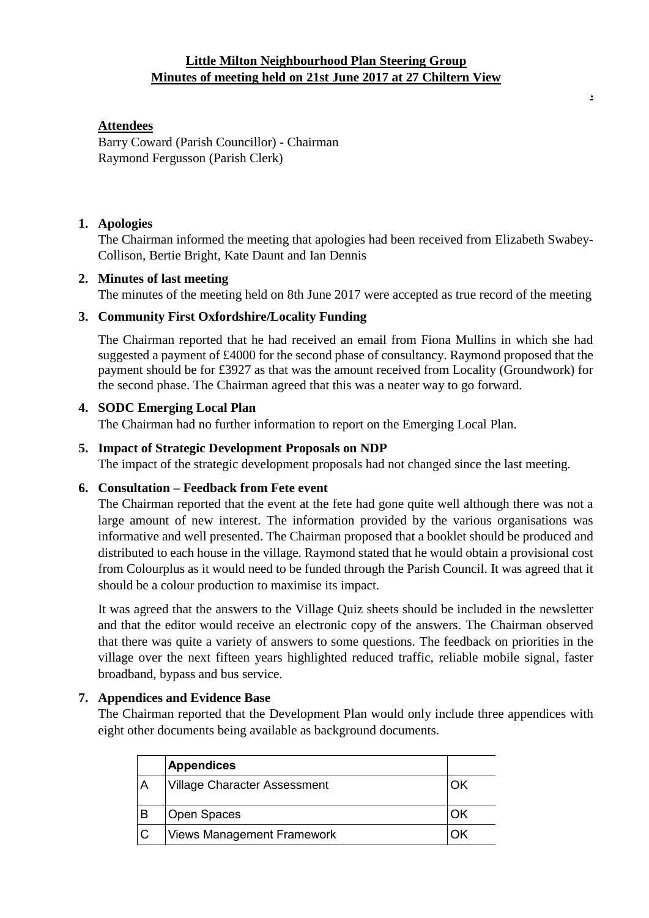# **Little Milton Neighbourhood Plan Steering Group Minutes of meeting held on 21st June 2017 at 27 Chiltern View**

**.**

#### **Attendees**

Barry Coward (Parish Councillor) - Chairman Raymond Fergusson (Parish Clerk)

#### **1. Apologies**

The Chairman informed the meeting that apologies had been received from Elizabeth Swabey-Collison, Bertie Bright, Kate Daunt and Ian Dennis

#### **2. Minutes of last meeting**

The minutes of the meeting held on 8th June 2017 were accepted as true record of the meeting

#### **3. Community First Oxfordshire/Locality Funding**

The Chairman reported that he had received an email from Fiona Mullins in which she had suggested a payment of £4000 for the second phase of consultancy. Raymond proposed that the payment should be for £3927 as that was the amount received from Locality (Groundwork) for the second phase. The Chairman agreed that this was a neater way to go forward.

#### **4. SODC Emerging Local Plan**

The Chairman had no further information to report on the Emerging Local Plan.

#### **5. Impact of Strategic Development Proposals on NDP**

The impact of the strategic development proposals had not changed since the last meeting.

#### **6. Consultation – Feedback from Fete event**

The Chairman reported that the event at the fete had gone quite well although there was not a large amount of new interest. The information provided by the various organisations was informative and well presented. The Chairman proposed that a booklet should be produced and distributed to each house in the village. Raymond stated that he would obtain a provisional cost from Colourplus as it would need to be funded through the Parish Council. It was agreed that it should be a colour production to maximise its impact.

It was agreed that the answers to the Village Quiz sheets should be included in the newsletter and that the editor would receive an electronic copy of the answers. The Chairman observed that there was quite a variety of answers to some questions. The feedback on priorities in the village over the next fifteen years highlighted reduced traffic, reliable mobile signal, faster broadband, bypass and bus service.

## **7. Appendices and Evidence Base**

The Chairman reported that the Development Plan would only include three appendices with eight other documents being available as background documents.

|   | <b>Appendices</b>                   |  |
|---|-------------------------------------|--|
|   | <b>Village Character Assessment</b> |  |
| B | Open Spaces                         |  |
|   | <b>Views Management Framework</b>   |  |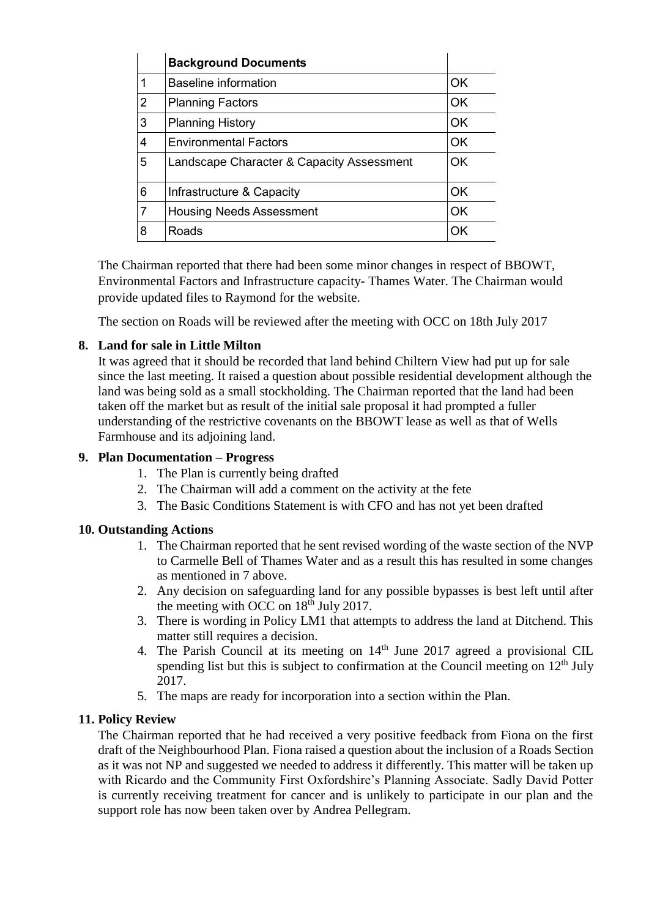|   | <b>Background Documents</b>               |    |
|---|-------------------------------------------|----|
| 1 | Baseline information                      | OK |
| 2 | <b>Planning Factors</b>                   | OK |
| 3 | <b>Planning History</b>                   | OK |
| 4 | <b>Environmental Factors</b>              | OK |
| 5 | Landscape Character & Capacity Assessment | OK |
| 6 | Infrastructure & Capacity                 | OK |
| 7 | <b>Housing Needs Assessment</b>           | OK |
| 8 | Roads                                     | ΩK |

The Chairman reported that there had been some minor changes in respect of BBOWT, Environmental Factors and Infrastructure capacity- Thames Water. The Chairman would provide updated files to Raymond for the website.

The section on Roads will be reviewed after the meeting with OCC on 18th July 2017

## **8. Land for sale in Little Milton**

It was agreed that it should be recorded that land behind Chiltern View had put up for sale since the last meeting. It raised a question about possible residential development although the land was being sold as a small stockholding. The Chairman reported that the land had been taken off the market but as result of the initial sale proposal it had prompted a fuller understanding of the restrictive covenants on the BBOWT lease as well as that of Wells Farmhouse and its adjoining land.

## **9. Plan Documentation – Progress**

- 1. The Plan is currently being drafted
- 2. The Chairman will add a comment on the activity at the fete
- 3. The Basic Conditions Statement is with CFO and has not yet been drafted

## **10. Outstanding Actions**

- 1. The Chairman reported that he sent revised wording of the waste section of the NVP to Carmelle Bell of Thames Water and as a result this has resulted in some changes as mentioned in 7 above.
- 2. Any decision on safeguarding land for any possible bypasses is best left until after the meeting with OCC on  $18<sup>th</sup>$  July 2017.
- 3. There is wording in Policy LM1 that attempts to address the land at Ditchend. This matter still requires a decision.
- 4. The Parish Council at its meeting on 14<sup>th</sup> June 2017 agreed a provisional CIL spending list but this is subject to confirmation at the Council meeting on  $12<sup>th</sup>$  July 2017.
- 5. The maps are ready for incorporation into a section within the Plan.

## **11. Policy Review**

The Chairman reported that he had received a very positive feedback from Fiona on the first draft of the Neighbourhood Plan. Fiona raised a question about the inclusion of a Roads Section as it was not NP and suggested we needed to address it differently. This matter will be taken up with Ricardo and the Community First Oxfordshire's Planning Associate. Sadly David Potter is currently receiving treatment for cancer and is unlikely to participate in our plan and the support role has now been taken over by Andrea Pellegram.